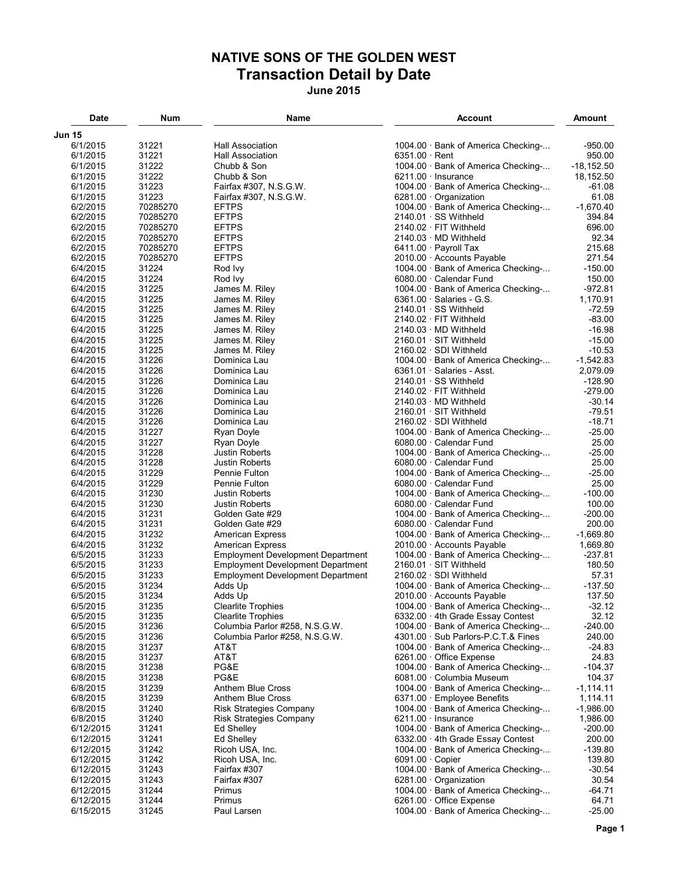## **NATIVE SONS OF THE GOLDEN WEST Transaction Detail by Date June 2015**

| Date                 | Num            | Name                                                        | Account                                                                  | Amount               |
|----------------------|----------------|-------------------------------------------------------------|--------------------------------------------------------------------------|----------------------|
| <b>Jun 15</b>        |                |                                                             |                                                                          |                      |
| 6/1/2015             | 31221          | <b>Hall Association</b>                                     | 1004.00 · Bank of America Checking-                                      | $-950.00$            |
| 6/1/2015             | 31221          | Hall Association                                            | $6351.00 \cdot$ Rent                                                     | 950.00               |
| 6/1/2015             | 31222          | Chubb & Son                                                 | 1004.00 · Bank of America Checking-                                      | $-18, 152.50$        |
| 6/1/2015             | 31222          | Chubb & Son                                                 | $6211.00 \cdot$ Insurance                                                | 18,152.50            |
| 6/1/2015             | 31223          | Fairfax #307, N.S.G.W.                                      | 1004.00 · Bank of America Checking-                                      | $-61.08$             |
| 6/1/2015             | 31223          | Fairfax #307, N.S.G.W.                                      | 6281.00 Organization                                                     | 61.08                |
| 6/2/2015             | 70285270       | <b>EFTPS</b>                                                | 1004.00 · Bank of America Checking-                                      | $-1,670.40$          |
| 6/2/2015             | 70285270       | <b>EFTPS</b>                                                | $2140.01 \cdot SS$ Withheld                                              | 394.84               |
| 6/2/2015             | 70285270       | <b>EFTPS</b>                                                | $2140.02 \cdot$ FIT Withheld                                             | 696.00               |
| 6/2/2015             | 70285270       | <b>EFTPS</b>                                                | $2140.03 \cdot MD$ Withheld                                              | 92.34                |
| 6/2/2015             | 70285270       | <b>EFTPS</b>                                                | 6411.00 · Payroll Tax                                                    | 215.68               |
| 6/2/2015             | 70285270       | <b>EFTPS</b>                                                | 2010.00 Accounts Payable                                                 | 271.54               |
| 6/4/2015             | 31224          | Rod Ivy                                                     | 1004.00 · Bank of America Checking-                                      | $-150.00$            |
| 6/4/2015             | 31224          | Rod Ivy                                                     | 6080.00 · Calendar Fund                                                  | 150.00               |
| 6/4/2015             | 31225          | James M. Riley                                              | 1004.00 · Bank of America Checking-                                      | $-972.81$            |
| 6/4/2015             | 31225          | James M. Riley                                              | $6361.00 \cdot$ Salaries - G.S.                                          | 1,170.91             |
| 6/4/2015             | 31225          | James M. Riley                                              | $2140.01 \cdot SS$ Withheld                                              | $-72.59$             |
| 6/4/2015             | 31225          | James M. Riley                                              | 2140.02 · FIT Withheld                                                   | $-83.00$             |
| 6/4/2015             | 31225          | James M. Riley                                              | $2140.03 \cdot MD$ Withheld                                              | $-16.98$             |
| 6/4/2015             | 31225<br>31225 | James M. Riley<br>James M. Riley                            | $2160.01 \cdot$ SIT Withheld<br>$2160.02 \cdot SDI$ Withheld             | $-15.00$<br>$-10.53$ |
| 6/4/2015<br>6/4/2015 | 31226          | Dominica Lau                                                | 1004.00 · Bank of America Checking-                                      | $-1,542.83$          |
| 6/4/2015             | 31226          | Dominica Lau                                                | $6361.01 \cdot$ Salaries - Asst.                                         | 2,079.09             |
| 6/4/2015             | 31226          | Dominica Lau                                                | $2140.01 \cdot SS$ Withheld                                              | $-128.90$            |
| 6/4/2015             | 31226          | Dominica Lau                                                | $2140.02 \cdot$ FIT Withheld                                             | $-279.00$            |
| 6/4/2015             | 31226          | Dominica Lau                                                | $2140.03 \cdot MD$ Withheld                                              | $-30.14$             |
| 6/4/2015             | 31226          | Dominica Lau                                                | $2160.01 \cdot$ SIT Withheld                                             | $-79.51$             |
| 6/4/2015             | 31226          | Dominica Lau                                                | $2160.02 \cdot SDI$ Withheld                                             | $-18.71$             |
| 6/4/2015             | 31227          | Ryan Doyle                                                  | 1004.00 · Bank of America Checking-                                      | $-25.00$             |
| 6/4/2015             | 31227          | Ryan Doyle                                                  | 6080.00 · Calendar Fund                                                  | 25.00                |
| 6/4/2015             | 31228          | <b>Justin Roberts</b>                                       | 1004.00 · Bank of America Checking-                                      | $-25.00$             |
| 6/4/2015             | 31228          | <b>Justin Roberts</b>                                       | 6080.00 · Calendar Fund                                                  | 25.00                |
| 6/4/2015             | 31229          | Pennie Fulton                                               | 1004.00 · Bank of America Checking-                                      | $-25.00$             |
| 6/4/2015             | 31229          | Pennie Fulton                                               | 6080.00 · Calendar Fund                                                  | 25.00                |
| 6/4/2015             | 31230          | <b>Justin Roberts</b>                                       | 1004.00 · Bank of America Checking-                                      | $-100.00$            |
| 6/4/2015             | 31230          | <b>Justin Roberts</b>                                       | 6080.00 · Calendar Fund                                                  | 100.00               |
| 6/4/2015             | 31231          | Golden Gate #29                                             | 1004.00 · Bank of America Checking-                                      | $-200.00$            |
| 6/4/2015             | 31231          | Golden Gate #29                                             | 6080.00 Calendar Fund                                                    | 200.00               |
| 6/4/2015             | 31232          | <b>American Express</b>                                     | 1004.00 · Bank of America Checking-                                      | $-1,669.80$          |
| 6/4/2015             | 31232          | <b>American Express</b>                                     | 2010.00 · Accounts Payable                                               | 1,669.80             |
| 6/5/2015             | 31233          | <b>Employment Development Department</b>                    | 1004.00 · Bank of America Checking-                                      | $-237.81$            |
| 6/5/2015             | 31233          | <b>Employment Development Department</b>                    | $2160.01 \cdot$ SIT Withheld                                             | 180.50               |
| 6/5/2015             | 31233          | <b>Employment Development Department</b>                    | $2160.02 \cdot SDI$ Withheld                                             | 57.31                |
| 6/5/2015             | 31234          | Adds Up                                                     | 1004.00 · Bank of America Checking-                                      | $-137.50$            |
| 6/5/2015             | 31234          | Adds Up                                                     | 2010.00 Accounts Payable                                                 | 137.50               |
| 6/5/2015             | 31235          | <b>Clearlite Trophies</b>                                   | 1004.00 · Bank of America Checking-                                      | $-32.12$             |
| 6/5/2015<br>6/5/2015 | 31235<br>31236 | <b>Clearlite Trophies</b><br>Columbia Parlor #258, N.S.G.W. | 6332.00 · 4th Grade Essay Contest<br>1004.00 · Bank of America Checking- | 32.12<br>$-240.00$   |
| 6/5/2015             | 31236          | Columbia Parlor #258, N.S.G.W.                              | 4301.00 · Sub Parlors-P.C.T.& Fines                                      | 240.00               |
| 6/8/2015             | 31237          | AT&T                                                        | 1004.00 · Bank of America Checking-                                      | $-24.83$             |
| 6/8/2015             | 31237          | AT&T                                                        | 6261.00 Office Expense                                                   | 24.83                |
| 6/8/2015             | 31238          | PG&E                                                        | 1004.00 · Bank of America Checking-                                      | $-104.37$            |
| 6/8/2015             | 31238          | PG&E                                                        | 6081.00 · Columbia Museum                                                | 104.37               |
| 6/8/2015             | 31239          | Anthem Blue Cross                                           | 1004.00 · Bank of America Checking-                                      | $-1, 114.11$         |
| 6/8/2015             | 31239          | Anthem Blue Cross                                           | 6371.00 · Employee Benefits                                              | 1,114.11             |
| 6/8/2015             | 31240          | <b>Risk Strategies Company</b>                              | 1004.00 · Bank of America Checking-                                      | $-1,986.00$          |
| 6/8/2015             | 31240          | Risk Strategies Company                                     | $6211.00 \cdot$ Insurance                                                | 1,986.00             |
| 6/12/2015            | 31241          | Ed Shelley                                                  | 1004.00 · Bank of America Checking-                                      | $-200.00$            |
| 6/12/2015            | 31241          | Ed Shelley                                                  | $6332.00 \cdot 4$ th Grade Essay Contest                                 | 200.00               |
| 6/12/2015            | 31242          | Ricoh USA, Inc.                                             | 1004.00 · Bank of America Checking-                                      | $-139.80$            |
| 6/12/2015            | 31242          | Ricoh USA, Inc.                                             | $6091.00 \cdot C$ opier                                                  | 139.80               |
| 6/12/2015            | 31243          | Fairfax #307                                                | 1004.00 · Bank of America Checking-                                      | $-30.54$             |
| 6/12/2015            | 31243          | Fairfax #307                                                | 6281.00 · Organization                                                   | 30.54                |
| 6/12/2015            | 31244          | Primus                                                      | 1004.00 · Bank of America Checking-                                      | -64.71               |
| 6/12/2015            | 31244          | Primus                                                      | 6261.00 Office Expense                                                   | 64.71                |
| 6/15/2015            | 31245          | Paul Larsen                                                 | 1004.00 · Bank of America Checking-                                      | $-25.00$             |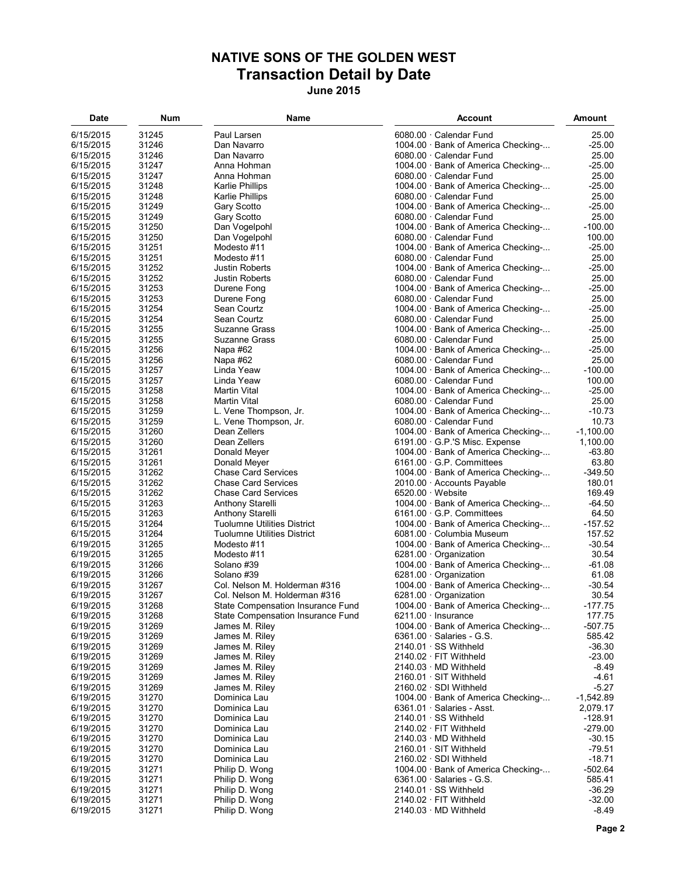## **NATIVE SONS OF THE GOLDEN WEST Transaction Detail by Date June 2015**

| 6/15/2015<br>31245<br>25.00<br>Paul Larsen<br>6080.00 · Calendar Fund<br>1004.00 · Bank of America Checking-<br>$-25.00$<br>6/15/2015<br>31246<br>Dan Navarro<br>25.00<br>6/15/2015<br>31246<br>Dan Navarro<br>6080.00 · Calendar Fund<br>$-25.00$<br>6/15/2015<br>31247<br>1004.00 · Bank of America Checking-<br>Anna Hohman<br>31247<br>25.00<br>6/15/2015<br>6080.00 · Calendar Fund<br>Anna Hohman<br>31248<br>$-25.00$<br>6/15/2015<br>Karlie Phillips<br>1004.00 · Bank of America Checking-<br>25.00<br>6/15/2015<br>31248<br>Karlie Phillips<br>6080.00 · Calendar Fund<br>6/15/2015<br>31249<br>Gary Scotto<br>1004.00 · Bank of America Checking-<br>$-25.00$<br>25.00<br>6/15/2015<br>31249<br>Gary Scotto<br>6080.00 · Calendar Fund<br>6/15/2015<br>31250<br>Dan Vogelpohl<br>$-100.00$<br>1004.00 · Bank of America Checking-<br>100.00<br>6/15/2015<br>31250<br>Dan Vogelpohl<br>6080.00 · Calendar Fund<br>1004.00 · Bank of America Checking-<br>$-25.00$<br>6/15/2015<br>31251<br>Modesto #11<br>25.00<br>6/15/2015<br>31251<br>Modesto #11<br>6080.00 · Calendar Fund<br>31252<br>$-25.00$<br>6/15/2015<br><b>Justin Roberts</b><br>1004.00 · Bank of America Checking-<br>31252<br>25.00<br>6/15/2015<br><b>Justin Roberts</b><br>6080.00 · Calendar Fund<br>1004.00 · Bank of America Checking-<br>$-25.00$<br>6/15/2015<br>31253<br>Durene Fong<br>31253<br>25.00<br>6/15/2015<br>6080.00 · Calendar Fund<br>Durene Fong<br>$-25.00$<br>6/15/2015<br>31254<br>Sean Courtz<br>1004.00 · Bank of America Checking-<br>31254<br>25.00<br>6/15/2015<br>Sean Courtz<br>6080.00 · Calendar Fund<br>1004.00 · Bank of America Checking-<br>$-25.00$<br>6/15/2015<br>31255<br>Suzanne Grass<br>31255<br>25.00<br>6/15/2015<br>Suzanne Grass<br>6080.00 · Calendar Fund<br>1004.00 · Bank of America Checking-<br>$-25.00$<br>6/15/2015<br>31256<br>Napa #62<br>31256<br>25.00<br>6/15/2015<br>Napa #62<br>6080.00 · Calendar Fund<br>31257<br>$-100.00$<br>6/15/2015<br>Linda Yeaw<br>1004.00 · Bank of America Checking-<br>31257<br>100.00<br>6/15/2015<br>Linda Yeaw<br>6080.00 · Calendar Fund<br>$-25.00$<br>6/15/2015<br>31258<br>Martin Vital<br>1004.00 · Bank of America Checking-<br>25.00<br>6/15/2015<br>31258<br>Martin Vital<br>6080.00 · Calendar Fund<br>31259<br>$-10.73$<br>6/15/2015<br>L. Vene Thompson, Jr.<br>1004.00 · Bank of America Checking-<br>31259<br>10.73<br>6/15/2015<br>L. Vene Thompson, Jr.<br>6080.00 · Calendar Fund<br>31260<br>$-1,100.00$<br>6/15/2015<br>Dean Zellers<br>1004.00 · Bank of America Checking-<br>6/15/2015<br>31260<br>Dean Zellers<br>6191.00 G.P.'S Misc. Expense<br>1,100.00<br>$-63.80$<br>6/15/2015<br>31261<br>Donald Meyer<br>1004.00 Bank of America Checking-<br>6/15/2015<br>31261<br>Donald Meyer<br>$6161.00 \cdot G.P.$ Committees<br>63.80<br>31262<br>$-349.50$<br>6/15/2015<br><b>Chase Card Services</b><br>1004.00 · Bank of America Checking-<br>6/15/2015<br>31262<br><b>Chase Card Services</b><br>180.01<br>$2010.00 \cdot$ Accounts Payable<br>31262<br>169.49<br>6/15/2015<br><b>Chase Card Services</b><br>$6520.00 \cdot$ Website<br>31263<br>$-64.50$<br>6/15/2015<br>Anthony Starelli<br>1004.00 · Bank of America Checking-<br>64.50<br>6/15/2015<br>31263<br>Anthony Starelli<br>$6161.00 \cdot G.P.$ Committees<br>$-157.52$<br>6/15/2015<br>31264<br><b>Tuolumne Utilities District</b><br>1004.00 · Bank of America Checking-<br>31264<br>157.52<br>6/15/2015<br><b>Tuolumne Utilities District</b><br>6081.00 · Columbia Museum<br>$-30.54$<br>6/19/2015<br>31265<br>Modesto #11<br>1004.00 · Bank of America Checking-<br>30.54<br>6/19/2015<br>31265<br>6281.00 Organization<br>Modesto #11<br>1004.00 · Bank of America Checking-<br>$-61.08$<br>6/19/2015<br>31266<br>Solano #39<br>6/19/2015<br>31266<br>Solano #39<br>6281.00 Organization<br>61.08<br>Col. Nelson M. Holderman #316<br>6/19/2015<br>31267<br>1004.00 · Bank of America Checking-<br>$-30.54$<br>6/19/2015<br>30.54<br>31267<br>Col. Nelson M. Holderman #316<br>6281.00 Organization<br>1004.00 · Bank of America Checking-<br>$-177.75$<br>6/19/2015<br>31268<br>State Compensation Insurance Fund<br>6/19/2015<br>31268<br>State Compensation Insurance Fund<br>$6211.00 \cdot$ Insurance<br>177.75<br>6/19/2015<br>31269<br>1004.00 · Bank of America Checking-<br>$-507.75$<br>James M. Riley<br>6/19/2015<br>31269<br>$6361.00 \cdot$ Salaries - G.S.<br>585.42<br>James M. Riley<br>$-36.30$<br>6/19/2015<br>31269<br>James M. Riley<br>$2140.01 \cdot SS$ Withheld<br>$-23.00$<br>6/19/2015<br>31269<br>James M. Riley<br>$2140.02 \cdot$ FIT Withheld<br>6/19/2015<br>31269<br>$-8.49$<br>James M. Riley<br>$2140.03 \cdot MD$ Withheld<br>$-4.61$<br>6/19/2015<br>31269<br>$2160.01 \cdot$ SIT Withheld<br>James M. Riley<br>31269<br>$-5.27$<br>6/19/2015<br>James M. Riley<br>$2160.02 \cdot SDI$ Withheld<br>31270<br>$-1,542.89$<br>6/19/2015<br>Dominica Lau<br>1004.00 · Bank of America Checking-<br>2,079.17<br>6/19/2015<br>31270<br>Dominica Lau<br>$6361.01 \cdot$ Salaries - Asst.<br>$-128.91$<br>6/19/2015<br>31270<br>Dominica Lau<br>$2140.01 \cdot SS$ Withheld<br>31270<br>2140.02 · FIT Withheld<br>$-279.00$<br>6/19/2015<br>Dominica Lau<br>$-30.15$<br>6/19/2015<br>31270<br>Dominica Lau<br>$2140.03 \cdot MD$ Withheld<br>6/19/2015<br>31270<br>2160.01 · SIT Withheld<br>$-79.51$<br>Dominica Lau<br>$-18.71$<br>6/19/2015<br>31270<br>$2160.02 \cdot SDI$ Withheld<br>Dominica Lau<br>$-502.64$<br>6/19/2015<br>31271<br>Philip D. Wong<br>1004.00 · Bank of America Checking-<br>31271<br>6361.00 $\cdot$ Salaries - G.S.<br>585.41<br>6/19/2015<br>Philip D. Wong<br>2140.01 · SS Withheld<br>6/19/2015<br>31271<br>Philip D. Wong<br>$-36.29$<br>Philip D. Wong<br>$2140.02 \cdot$ FIT Withheld<br>$-32.00$<br>6/19/2015<br>31271<br>6/19/2015<br>31271<br>Philip D. Wong<br>2140.03 · MD Withheld<br>$-8.49$ | Date | Num | Name | <b>Account</b> | Amount |
|--------------------------------------------------------------------------------------------------------------------------------------------------------------------------------------------------------------------------------------------------------------------------------------------------------------------------------------------------------------------------------------------------------------------------------------------------------------------------------------------------------------------------------------------------------------------------------------------------------------------------------------------------------------------------------------------------------------------------------------------------------------------------------------------------------------------------------------------------------------------------------------------------------------------------------------------------------------------------------------------------------------------------------------------------------------------------------------------------------------------------------------------------------------------------------------------------------------------------------------------------------------------------------------------------------------------------------------------------------------------------------------------------------------------------------------------------------------------------------------------------------------------------------------------------------------------------------------------------------------------------------------------------------------------------------------------------------------------------------------------------------------------------------------------------------------------------------------------------------------------------------------------------------------------------------------------------------------------------------------------------------------------------------------------------------------------------------------------------------------------------------------------------------------------------------------------------------------------------------------------------------------------------------------------------------------------------------------------------------------------------------------------------------------------------------------------------------------------------------------------------------------------------------------------------------------------------------------------------------------------------------------------------------------------------------------------------------------------------------------------------------------------------------------------------------------------------------------------------------------------------------------------------------------------------------------------------------------------------------------------------------------------------------------------------------------------------------------------------------------------------------------------------------------------------------------------------------------------------------------------------------------------------------------------------------------------------------------------------------------------------------------------------------------------------------------------------------------------------------------------------------------------------------------------------------------------------------------------------------------------------------------------------------------------------------------------------------------------------------------------------------------------------------------------------------------------------------------------------------------------------------------------------------------------------------------------------------------------------------------------------------------------------------------------------------------------------------------------------------------------------------------------------------------------------------------------------------------------------------------------------------------------------------------------------------------------------------------------------------------------------------------------------------------------------------------------------------------------------------------------------------------------------------------------------------------------------------------------------------------------------------------------------------------------------------------------------------------------------------------------------------------------------------------------------------------------------------------------------------------------------------------------------------------------------------------------------------------------------------------------------------------------------------------------------------------------------------------------------------------------------------------------------------------------------------------------------------------------------------------------------------------------------------------------------------------------------------------------------------------------------------------------------------------------------------------------------------------------------------------------------------------------------------------------------------------------------------------------------------------------------------------------------------------------------------------------------------------------------------------------------------------------------------------------------------------------------------------------------------------------------------------------------------------------------------------|------|-----|------|----------------|--------|
|                                                                                                                                                                                                                                                                                                                                                                                                                                                                                                                                                                                                                                                                                                                                                                                                                                                                                                                                                                                                                                                                                                                                                                                                                                                                                                                                                                                                                                                                                                                                                                                                                                                                                                                                                                                                                                                                                                                                                                                                                                                                                                                                                                                                                                                                                                                                                                                                                                                                                                                                                                                                                                                                                                                                                                                                                                                                                                                                                                                                                                                                                                                                                                                                                                                                                                                                                                                                                                                                                                                                                                                                                                                                                                                                                                                                                                                                                                                                                                                                                                                                                                                                                                                                                                                                                                                                                                                                                                                                                                                                                                                                                                                                                                                                                                                                                                                                                                                                                                                                                                                                                                                                                                                                                                                                                                                                                                                                                                                                                                                                                                                                                                                                                                                                                                                                                                                                                                                                      |      |     |      |                |        |
|                                                                                                                                                                                                                                                                                                                                                                                                                                                                                                                                                                                                                                                                                                                                                                                                                                                                                                                                                                                                                                                                                                                                                                                                                                                                                                                                                                                                                                                                                                                                                                                                                                                                                                                                                                                                                                                                                                                                                                                                                                                                                                                                                                                                                                                                                                                                                                                                                                                                                                                                                                                                                                                                                                                                                                                                                                                                                                                                                                                                                                                                                                                                                                                                                                                                                                                                                                                                                                                                                                                                                                                                                                                                                                                                                                                                                                                                                                                                                                                                                                                                                                                                                                                                                                                                                                                                                                                                                                                                                                                                                                                                                                                                                                                                                                                                                                                                                                                                                                                                                                                                                                                                                                                                                                                                                                                                                                                                                                                                                                                                                                                                                                                                                                                                                                                                                                                                                                                                      |      |     |      |                |        |
|                                                                                                                                                                                                                                                                                                                                                                                                                                                                                                                                                                                                                                                                                                                                                                                                                                                                                                                                                                                                                                                                                                                                                                                                                                                                                                                                                                                                                                                                                                                                                                                                                                                                                                                                                                                                                                                                                                                                                                                                                                                                                                                                                                                                                                                                                                                                                                                                                                                                                                                                                                                                                                                                                                                                                                                                                                                                                                                                                                                                                                                                                                                                                                                                                                                                                                                                                                                                                                                                                                                                                                                                                                                                                                                                                                                                                                                                                                                                                                                                                                                                                                                                                                                                                                                                                                                                                                                                                                                                                                                                                                                                                                                                                                                                                                                                                                                                                                                                                                                                                                                                                                                                                                                                                                                                                                                                                                                                                                                                                                                                                                                                                                                                                                                                                                                                                                                                                                                                      |      |     |      |                |        |
|                                                                                                                                                                                                                                                                                                                                                                                                                                                                                                                                                                                                                                                                                                                                                                                                                                                                                                                                                                                                                                                                                                                                                                                                                                                                                                                                                                                                                                                                                                                                                                                                                                                                                                                                                                                                                                                                                                                                                                                                                                                                                                                                                                                                                                                                                                                                                                                                                                                                                                                                                                                                                                                                                                                                                                                                                                                                                                                                                                                                                                                                                                                                                                                                                                                                                                                                                                                                                                                                                                                                                                                                                                                                                                                                                                                                                                                                                                                                                                                                                                                                                                                                                                                                                                                                                                                                                                                                                                                                                                                                                                                                                                                                                                                                                                                                                                                                                                                                                                                                                                                                                                                                                                                                                                                                                                                                                                                                                                                                                                                                                                                                                                                                                                                                                                                                                                                                                                                                      |      |     |      |                |        |
|                                                                                                                                                                                                                                                                                                                                                                                                                                                                                                                                                                                                                                                                                                                                                                                                                                                                                                                                                                                                                                                                                                                                                                                                                                                                                                                                                                                                                                                                                                                                                                                                                                                                                                                                                                                                                                                                                                                                                                                                                                                                                                                                                                                                                                                                                                                                                                                                                                                                                                                                                                                                                                                                                                                                                                                                                                                                                                                                                                                                                                                                                                                                                                                                                                                                                                                                                                                                                                                                                                                                                                                                                                                                                                                                                                                                                                                                                                                                                                                                                                                                                                                                                                                                                                                                                                                                                                                                                                                                                                                                                                                                                                                                                                                                                                                                                                                                                                                                                                                                                                                                                                                                                                                                                                                                                                                                                                                                                                                                                                                                                                                                                                                                                                                                                                                                                                                                                                                                      |      |     |      |                |        |
|                                                                                                                                                                                                                                                                                                                                                                                                                                                                                                                                                                                                                                                                                                                                                                                                                                                                                                                                                                                                                                                                                                                                                                                                                                                                                                                                                                                                                                                                                                                                                                                                                                                                                                                                                                                                                                                                                                                                                                                                                                                                                                                                                                                                                                                                                                                                                                                                                                                                                                                                                                                                                                                                                                                                                                                                                                                                                                                                                                                                                                                                                                                                                                                                                                                                                                                                                                                                                                                                                                                                                                                                                                                                                                                                                                                                                                                                                                                                                                                                                                                                                                                                                                                                                                                                                                                                                                                                                                                                                                                                                                                                                                                                                                                                                                                                                                                                                                                                                                                                                                                                                                                                                                                                                                                                                                                                                                                                                                                                                                                                                                                                                                                                                                                                                                                                                                                                                                                                      |      |     |      |                |        |
|                                                                                                                                                                                                                                                                                                                                                                                                                                                                                                                                                                                                                                                                                                                                                                                                                                                                                                                                                                                                                                                                                                                                                                                                                                                                                                                                                                                                                                                                                                                                                                                                                                                                                                                                                                                                                                                                                                                                                                                                                                                                                                                                                                                                                                                                                                                                                                                                                                                                                                                                                                                                                                                                                                                                                                                                                                                                                                                                                                                                                                                                                                                                                                                                                                                                                                                                                                                                                                                                                                                                                                                                                                                                                                                                                                                                                                                                                                                                                                                                                                                                                                                                                                                                                                                                                                                                                                                                                                                                                                                                                                                                                                                                                                                                                                                                                                                                                                                                                                                                                                                                                                                                                                                                                                                                                                                                                                                                                                                                                                                                                                                                                                                                                                                                                                                                                                                                                                                                      |      |     |      |                |        |
|                                                                                                                                                                                                                                                                                                                                                                                                                                                                                                                                                                                                                                                                                                                                                                                                                                                                                                                                                                                                                                                                                                                                                                                                                                                                                                                                                                                                                                                                                                                                                                                                                                                                                                                                                                                                                                                                                                                                                                                                                                                                                                                                                                                                                                                                                                                                                                                                                                                                                                                                                                                                                                                                                                                                                                                                                                                                                                                                                                                                                                                                                                                                                                                                                                                                                                                                                                                                                                                                                                                                                                                                                                                                                                                                                                                                                                                                                                                                                                                                                                                                                                                                                                                                                                                                                                                                                                                                                                                                                                                                                                                                                                                                                                                                                                                                                                                                                                                                                                                                                                                                                                                                                                                                                                                                                                                                                                                                                                                                                                                                                                                                                                                                                                                                                                                                                                                                                                                                      |      |     |      |                |        |
|                                                                                                                                                                                                                                                                                                                                                                                                                                                                                                                                                                                                                                                                                                                                                                                                                                                                                                                                                                                                                                                                                                                                                                                                                                                                                                                                                                                                                                                                                                                                                                                                                                                                                                                                                                                                                                                                                                                                                                                                                                                                                                                                                                                                                                                                                                                                                                                                                                                                                                                                                                                                                                                                                                                                                                                                                                                                                                                                                                                                                                                                                                                                                                                                                                                                                                                                                                                                                                                                                                                                                                                                                                                                                                                                                                                                                                                                                                                                                                                                                                                                                                                                                                                                                                                                                                                                                                                                                                                                                                                                                                                                                                                                                                                                                                                                                                                                                                                                                                                                                                                                                                                                                                                                                                                                                                                                                                                                                                                                                                                                                                                                                                                                                                                                                                                                                                                                                                                                      |      |     |      |                |        |
|                                                                                                                                                                                                                                                                                                                                                                                                                                                                                                                                                                                                                                                                                                                                                                                                                                                                                                                                                                                                                                                                                                                                                                                                                                                                                                                                                                                                                                                                                                                                                                                                                                                                                                                                                                                                                                                                                                                                                                                                                                                                                                                                                                                                                                                                                                                                                                                                                                                                                                                                                                                                                                                                                                                                                                                                                                                                                                                                                                                                                                                                                                                                                                                                                                                                                                                                                                                                                                                                                                                                                                                                                                                                                                                                                                                                                                                                                                                                                                                                                                                                                                                                                                                                                                                                                                                                                                                                                                                                                                                                                                                                                                                                                                                                                                                                                                                                                                                                                                                                                                                                                                                                                                                                                                                                                                                                                                                                                                                                                                                                                                                                                                                                                                                                                                                                                                                                                                                                      |      |     |      |                |        |
|                                                                                                                                                                                                                                                                                                                                                                                                                                                                                                                                                                                                                                                                                                                                                                                                                                                                                                                                                                                                                                                                                                                                                                                                                                                                                                                                                                                                                                                                                                                                                                                                                                                                                                                                                                                                                                                                                                                                                                                                                                                                                                                                                                                                                                                                                                                                                                                                                                                                                                                                                                                                                                                                                                                                                                                                                                                                                                                                                                                                                                                                                                                                                                                                                                                                                                                                                                                                                                                                                                                                                                                                                                                                                                                                                                                                                                                                                                                                                                                                                                                                                                                                                                                                                                                                                                                                                                                                                                                                                                                                                                                                                                                                                                                                                                                                                                                                                                                                                                                                                                                                                                                                                                                                                                                                                                                                                                                                                                                                                                                                                                                                                                                                                                                                                                                                                                                                                                                                      |      |     |      |                |        |
|                                                                                                                                                                                                                                                                                                                                                                                                                                                                                                                                                                                                                                                                                                                                                                                                                                                                                                                                                                                                                                                                                                                                                                                                                                                                                                                                                                                                                                                                                                                                                                                                                                                                                                                                                                                                                                                                                                                                                                                                                                                                                                                                                                                                                                                                                                                                                                                                                                                                                                                                                                                                                                                                                                                                                                                                                                                                                                                                                                                                                                                                                                                                                                                                                                                                                                                                                                                                                                                                                                                                                                                                                                                                                                                                                                                                                                                                                                                                                                                                                                                                                                                                                                                                                                                                                                                                                                                                                                                                                                                                                                                                                                                                                                                                                                                                                                                                                                                                                                                                                                                                                                                                                                                                                                                                                                                                                                                                                                                                                                                                                                                                                                                                                                                                                                                                                                                                                                                                      |      |     |      |                |        |
|                                                                                                                                                                                                                                                                                                                                                                                                                                                                                                                                                                                                                                                                                                                                                                                                                                                                                                                                                                                                                                                                                                                                                                                                                                                                                                                                                                                                                                                                                                                                                                                                                                                                                                                                                                                                                                                                                                                                                                                                                                                                                                                                                                                                                                                                                                                                                                                                                                                                                                                                                                                                                                                                                                                                                                                                                                                                                                                                                                                                                                                                                                                                                                                                                                                                                                                                                                                                                                                                                                                                                                                                                                                                                                                                                                                                                                                                                                                                                                                                                                                                                                                                                                                                                                                                                                                                                                                                                                                                                                                                                                                                                                                                                                                                                                                                                                                                                                                                                                                                                                                                                                                                                                                                                                                                                                                                                                                                                                                                                                                                                                                                                                                                                                                                                                                                                                                                                                                                      |      |     |      |                |        |
|                                                                                                                                                                                                                                                                                                                                                                                                                                                                                                                                                                                                                                                                                                                                                                                                                                                                                                                                                                                                                                                                                                                                                                                                                                                                                                                                                                                                                                                                                                                                                                                                                                                                                                                                                                                                                                                                                                                                                                                                                                                                                                                                                                                                                                                                                                                                                                                                                                                                                                                                                                                                                                                                                                                                                                                                                                                                                                                                                                                                                                                                                                                                                                                                                                                                                                                                                                                                                                                                                                                                                                                                                                                                                                                                                                                                                                                                                                                                                                                                                                                                                                                                                                                                                                                                                                                                                                                                                                                                                                                                                                                                                                                                                                                                                                                                                                                                                                                                                                                                                                                                                                                                                                                                                                                                                                                                                                                                                                                                                                                                                                                                                                                                                                                                                                                                                                                                                                                                      |      |     |      |                |        |
|                                                                                                                                                                                                                                                                                                                                                                                                                                                                                                                                                                                                                                                                                                                                                                                                                                                                                                                                                                                                                                                                                                                                                                                                                                                                                                                                                                                                                                                                                                                                                                                                                                                                                                                                                                                                                                                                                                                                                                                                                                                                                                                                                                                                                                                                                                                                                                                                                                                                                                                                                                                                                                                                                                                                                                                                                                                                                                                                                                                                                                                                                                                                                                                                                                                                                                                                                                                                                                                                                                                                                                                                                                                                                                                                                                                                                                                                                                                                                                                                                                                                                                                                                                                                                                                                                                                                                                                                                                                                                                                                                                                                                                                                                                                                                                                                                                                                                                                                                                                                                                                                                                                                                                                                                                                                                                                                                                                                                                                                                                                                                                                                                                                                                                                                                                                                                                                                                                                                      |      |     |      |                |        |
|                                                                                                                                                                                                                                                                                                                                                                                                                                                                                                                                                                                                                                                                                                                                                                                                                                                                                                                                                                                                                                                                                                                                                                                                                                                                                                                                                                                                                                                                                                                                                                                                                                                                                                                                                                                                                                                                                                                                                                                                                                                                                                                                                                                                                                                                                                                                                                                                                                                                                                                                                                                                                                                                                                                                                                                                                                                                                                                                                                                                                                                                                                                                                                                                                                                                                                                                                                                                                                                                                                                                                                                                                                                                                                                                                                                                                                                                                                                                                                                                                                                                                                                                                                                                                                                                                                                                                                                                                                                                                                                                                                                                                                                                                                                                                                                                                                                                                                                                                                                                                                                                                                                                                                                                                                                                                                                                                                                                                                                                                                                                                                                                                                                                                                                                                                                                                                                                                                                                      |      |     |      |                |        |
|                                                                                                                                                                                                                                                                                                                                                                                                                                                                                                                                                                                                                                                                                                                                                                                                                                                                                                                                                                                                                                                                                                                                                                                                                                                                                                                                                                                                                                                                                                                                                                                                                                                                                                                                                                                                                                                                                                                                                                                                                                                                                                                                                                                                                                                                                                                                                                                                                                                                                                                                                                                                                                                                                                                                                                                                                                                                                                                                                                                                                                                                                                                                                                                                                                                                                                                                                                                                                                                                                                                                                                                                                                                                                                                                                                                                                                                                                                                                                                                                                                                                                                                                                                                                                                                                                                                                                                                                                                                                                                                                                                                                                                                                                                                                                                                                                                                                                                                                                                                                                                                                                                                                                                                                                                                                                                                                                                                                                                                                                                                                                                                                                                                                                                                                                                                                                                                                                                                                      |      |     |      |                |        |
|                                                                                                                                                                                                                                                                                                                                                                                                                                                                                                                                                                                                                                                                                                                                                                                                                                                                                                                                                                                                                                                                                                                                                                                                                                                                                                                                                                                                                                                                                                                                                                                                                                                                                                                                                                                                                                                                                                                                                                                                                                                                                                                                                                                                                                                                                                                                                                                                                                                                                                                                                                                                                                                                                                                                                                                                                                                                                                                                                                                                                                                                                                                                                                                                                                                                                                                                                                                                                                                                                                                                                                                                                                                                                                                                                                                                                                                                                                                                                                                                                                                                                                                                                                                                                                                                                                                                                                                                                                                                                                                                                                                                                                                                                                                                                                                                                                                                                                                                                                                                                                                                                                                                                                                                                                                                                                                                                                                                                                                                                                                                                                                                                                                                                                                                                                                                                                                                                                                                      |      |     |      |                |        |
|                                                                                                                                                                                                                                                                                                                                                                                                                                                                                                                                                                                                                                                                                                                                                                                                                                                                                                                                                                                                                                                                                                                                                                                                                                                                                                                                                                                                                                                                                                                                                                                                                                                                                                                                                                                                                                                                                                                                                                                                                                                                                                                                                                                                                                                                                                                                                                                                                                                                                                                                                                                                                                                                                                                                                                                                                                                                                                                                                                                                                                                                                                                                                                                                                                                                                                                                                                                                                                                                                                                                                                                                                                                                                                                                                                                                                                                                                                                                                                                                                                                                                                                                                                                                                                                                                                                                                                                                                                                                                                                                                                                                                                                                                                                                                                                                                                                                                                                                                                                                                                                                                                                                                                                                                                                                                                                                                                                                                                                                                                                                                                                                                                                                                                                                                                                                                                                                                                                                      |      |     |      |                |        |
|                                                                                                                                                                                                                                                                                                                                                                                                                                                                                                                                                                                                                                                                                                                                                                                                                                                                                                                                                                                                                                                                                                                                                                                                                                                                                                                                                                                                                                                                                                                                                                                                                                                                                                                                                                                                                                                                                                                                                                                                                                                                                                                                                                                                                                                                                                                                                                                                                                                                                                                                                                                                                                                                                                                                                                                                                                                                                                                                                                                                                                                                                                                                                                                                                                                                                                                                                                                                                                                                                                                                                                                                                                                                                                                                                                                                                                                                                                                                                                                                                                                                                                                                                                                                                                                                                                                                                                                                                                                                                                                                                                                                                                                                                                                                                                                                                                                                                                                                                                                                                                                                                                                                                                                                                                                                                                                                                                                                                                                                                                                                                                                                                                                                                                                                                                                                                                                                                                                                      |      |     |      |                |        |
|                                                                                                                                                                                                                                                                                                                                                                                                                                                                                                                                                                                                                                                                                                                                                                                                                                                                                                                                                                                                                                                                                                                                                                                                                                                                                                                                                                                                                                                                                                                                                                                                                                                                                                                                                                                                                                                                                                                                                                                                                                                                                                                                                                                                                                                                                                                                                                                                                                                                                                                                                                                                                                                                                                                                                                                                                                                                                                                                                                                                                                                                                                                                                                                                                                                                                                                                                                                                                                                                                                                                                                                                                                                                                                                                                                                                                                                                                                                                                                                                                                                                                                                                                                                                                                                                                                                                                                                                                                                                                                                                                                                                                                                                                                                                                                                                                                                                                                                                                                                                                                                                                                                                                                                                                                                                                                                                                                                                                                                                                                                                                                                                                                                                                                                                                                                                                                                                                                                                      |      |     |      |                |        |
|                                                                                                                                                                                                                                                                                                                                                                                                                                                                                                                                                                                                                                                                                                                                                                                                                                                                                                                                                                                                                                                                                                                                                                                                                                                                                                                                                                                                                                                                                                                                                                                                                                                                                                                                                                                                                                                                                                                                                                                                                                                                                                                                                                                                                                                                                                                                                                                                                                                                                                                                                                                                                                                                                                                                                                                                                                                                                                                                                                                                                                                                                                                                                                                                                                                                                                                                                                                                                                                                                                                                                                                                                                                                                                                                                                                                                                                                                                                                                                                                                                                                                                                                                                                                                                                                                                                                                                                                                                                                                                                                                                                                                                                                                                                                                                                                                                                                                                                                                                                                                                                                                                                                                                                                                                                                                                                                                                                                                                                                                                                                                                                                                                                                                                                                                                                                                                                                                                                                      |      |     |      |                |        |
|                                                                                                                                                                                                                                                                                                                                                                                                                                                                                                                                                                                                                                                                                                                                                                                                                                                                                                                                                                                                                                                                                                                                                                                                                                                                                                                                                                                                                                                                                                                                                                                                                                                                                                                                                                                                                                                                                                                                                                                                                                                                                                                                                                                                                                                                                                                                                                                                                                                                                                                                                                                                                                                                                                                                                                                                                                                                                                                                                                                                                                                                                                                                                                                                                                                                                                                                                                                                                                                                                                                                                                                                                                                                                                                                                                                                                                                                                                                                                                                                                                                                                                                                                                                                                                                                                                                                                                                                                                                                                                                                                                                                                                                                                                                                                                                                                                                                                                                                                                                                                                                                                                                                                                                                                                                                                                                                                                                                                                                                                                                                                                                                                                                                                                                                                                                                                                                                                                                                      |      |     |      |                |        |
|                                                                                                                                                                                                                                                                                                                                                                                                                                                                                                                                                                                                                                                                                                                                                                                                                                                                                                                                                                                                                                                                                                                                                                                                                                                                                                                                                                                                                                                                                                                                                                                                                                                                                                                                                                                                                                                                                                                                                                                                                                                                                                                                                                                                                                                                                                                                                                                                                                                                                                                                                                                                                                                                                                                                                                                                                                                                                                                                                                                                                                                                                                                                                                                                                                                                                                                                                                                                                                                                                                                                                                                                                                                                                                                                                                                                                                                                                                                                                                                                                                                                                                                                                                                                                                                                                                                                                                                                                                                                                                                                                                                                                                                                                                                                                                                                                                                                                                                                                                                                                                                                                                                                                                                                                                                                                                                                                                                                                                                                                                                                                                                                                                                                                                                                                                                                                                                                                                                                      |      |     |      |                |        |
|                                                                                                                                                                                                                                                                                                                                                                                                                                                                                                                                                                                                                                                                                                                                                                                                                                                                                                                                                                                                                                                                                                                                                                                                                                                                                                                                                                                                                                                                                                                                                                                                                                                                                                                                                                                                                                                                                                                                                                                                                                                                                                                                                                                                                                                                                                                                                                                                                                                                                                                                                                                                                                                                                                                                                                                                                                                                                                                                                                                                                                                                                                                                                                                                                                                                                                                                                                                                                                                                                                                                                                                                                                                                                                                                                                                                                                                                                                                                                                                                                                                                                                                                                                                                                                                                                                                                                                                                                                                                                                                                                                                                                                                                                                                                                                                                                                                                                                                                                                                                                                                                                                                                                                                                                                                                                                                                                                                                                                                                                                                                                                                                                                                                                                                                                                                                                                                                                                                                      |      |     |      |                |        |
|                                                                                                                                                                                                                                                                                                                                                                                                                                                                                                                                                                                                                                                                                                                                                                                                                                                                                                                                                                                                                                                                                                                                                                                                                                                                                                                                                                                                                                                                                                                                                                                                                                                                                                                                                                                                                                                                                                                                                                                                                                                                                                                                                                                                                                                                                                                                                                                                                                                                                                                                                                                                                                                                                                                                                                                                                                                                                                                                                                                                                                                                                                                                                                                                                                                                                                                                                                                                                                                                                                                                                                                                                                                                                                                                                                                                                                                                                                                                                                                                                                                                                                                                                                                                                                                                                                                                                                                                                                                                                                                                                                                                                                                                                                                                                                                                                                                                                                                                                                                                                                                                                                                                                                                                                                                                                                                                                                                                                                                                                                                                                                                                                                                                                                                                                                                                                                                                                                                                      |      |     |      |                |        |
|                                                                                                                                                                                                                                                                                                                                                                                                                                                                                                                                                                                                                                                                                                                                                                                                                                                                                                                                                                                                                                                                                                                                                                                                                                                                                                                                                                                                                                                                                                                                                                                                                                                                                                                                                                                                                                                                                                                                                                                                                                                                                                                                                                                                                                                                                                                                                                                                                                                                                                                                                                                                                                                                                                                                                                                                                                                                                                                                                                                                                                                                                                                                                                                                                                                                                                                                                                                                                                                                                                                                                                                                                                                                                                                                                                                                                                                                                                                                                                                                                                                                                                                                                                                                                                                                                                                                                                                                                                                                                                                                                                                                                                                                                                                                                                                                                                                                                                                                                                                                                                                                                                                                                                                                                                                                                                                                                                                                                                                                                                                                                                                                                                                                                                                                                                                                                                                                                                                                      |      |     |      |                |        |
|                                                                                                                                                                                                                                                                                                                                                                                                                                                                                                                                                                                                                                                                                                                                                                                                                                                                                                                                                                                                                                                                                                                                                                                                                                                                                                                                                                                                                                                                                                                                                                                                                                                                                                                                                                                                                                                                                                                                                                                                                                                                                                                                                                                                                                                                                                                                                                                                                                                                                                                                                                                                                                                                                                                                                                                                                                                                                                                                                                                                                                                                                                                                                                                                                                                                                                                                                                                                                                                                                                                                                                                                                                                                                                                                                                                                                                                                                                                                                                                                                                                                                                                                                                                                                                                                                                                                                                                                                                                                                                                                                                                                                                                                                                                                                                                                                                                                                                                                                                                                                                                                                                                                                                                                                                                                                                                                                                                                                                                                                                                                                                                                                                                                                                                                                                                                                                                                                                                                      |      |     |      |                |        |
|                                                                                                                                                                                                                                                                                                                                                                                                                                                                                                                                                                                                                                                                                                                                                                                                                                                                                                                                                                                                                                                                                                                                                                                                                                                                                                                                                                                                                                                                                                                                                                                                                                                                                                                                                                                                                                                                                                                                                                                                                                                                                                                                                                                                                                                                                                                                                                                                                                                                                                                                                                                                                                                                                                                                                                                                                                                                                                                                                                                                                                                                                                                                                                                                                                                                                                                                                                                                                                                                                                                                                                                                                                                                                                                                                                                                                                                                                                                                                                                                                                                                                                                                                                                                                                                                                                                                                                                                                                                                                                                                                                                                                                                                                                                                                                                                                                                                                                                                                                                                                                                                                                                                                                                                                                                                                                                                                                                                                                                                                                                                                                                                                                                                                                                                                                                                                                                                                                                                      |      |     |      |                |        |
|                                                                                                                                                                                                                                                                                                                                                                                                                                                                                                                                                                                                                                                                                                                                                                                                                                                                                                                                                                                                                                                                                                                                                                                                                                                                                                                                                                                                                                                                                                                                                                                                                                                                                                                                                                                                                                                                                                                                                                                                                                                                                                                                                                                                                                                                                                                                                                                                                                                                                                                                                                                                                                                                                                                                                                                                                                                                                                                                                                                                                                                                                                                                                                                                                                                                                                                                                                                                                                                                                                                                                                                                                                                                                                                                                                                                                                                                                                                                                                                                                                                                                                                                                                                                                                                                                                                                                                                                                                                                                                                                                                                                                                                                                                                                                                                                                                                                                                                                                                                                                                                                                                                                                                                                                                                                                                                                                                                                                                                                                                                                                                                                                                                                                                                                                                                                                                                                                                                                      |      |     |      |                |        |
|                                                                                                                                                                                                                                                                                                                                                                                                                                                                                                                                                                                                                                                                                                                                                                                                                                                                                                                                                                                                                                                                                                                                                                                                                                                                                                                                                                                                                                                                                                                                                                                                                                                                                                                                                                                                                                                                                                                                                                                                                                                                                                                                                                                                                                                                                                                                                                                                                                                                                                                                                                                                                                                                                                                                                                                                                                                                                                                                                                                                                                                                                                                                                                                                                                                                                                                                                                                                                                                                                                                                                                                                                                                                                                                                                                                                                                                                                                                                                                                                                                                                                                                                                                                                                                                                                                                                                                                                                                                                                                                                                                                                                                                                                                                                                                                                                                                                                                                                                                                                                                                                                                                                                                                                                                                                                                                                                                                                                                                                                                                                                                                                                                                                                                                                                                                                                                                                                                                                      |      |     |      |                |        |
|                                                                                                                                                                                                                                                                                                                                                                                                                                                                                                                                                                                                                                                                                                                                                                                                                                                                                                                                                                                                                                                                                                                                                                                                                                                                                                                                                                                                                                                                                                                                                                                                                                                                                                                                                                                                                                                                                                                                                                                                                                                                                                                                                                                                                                                                                                                                                                                                                                                                                                                                                                                                                                                                                                                                                                                                                                                                                                                                                                                                                                                                                                                                                                                                                                                                                                                                                                                                                                                                                                                                                                                                                                                                                                                                                                                                                                                                                                                                                                                                                                                                                                                                                                                                                                                                                                                                                                                                                                                                                                                                                                                                                                                                                                                                                                                                                                                                                                                                                                                                                                                                                                                                                                                                                                                                                                                                                                                                                                                                                                                                                                                                                                                                                                                                                                                                                                                                                                                                      |      |     |      |                |        |
|                                                                                                                                                                                                                                                                                                                                                                                                                                                                                                                                                                                                                                                                                                                                                                                                                                                                                                                                                                                                                                                                                                                                                                                                                                                                                                                                                                                                                                                                                                                                                                                                                                                                                                                                                                                                                                                                                                                                                                                                                                                                                                                                                                                                                                                                                                                                                                                                                                                                                                                                                                                                                                                                                                                                                                                                                                                                                                                                                                                                                                                                                                                                                                                                                                                                                                                                                                                                                                                                                                                                                                                                                                                                                                                                                                                                                                                                                                                                                                                                                                                                                                                                                                                                                                                                                                                                                                                                                                                                                                                                                                                                                                                                                                                                                                                                                                                                                                                                                                                                                                                                                                                                                                                                                                                                                                                                                                                                                                                                                                                                                                                                                                                                                                                                                                                                                                                                                                                                      |      |     |      |                |        |
|                                                                                                                                                                                                                                                                                                                                                                                                                                                                                                                                                                                                                                                                                                                                                                                                                                                                                                                                                                                                                                                                                                                                                                                                                                                                                                                                                                                                                                                                                                                                                                                                                                                                                                                                                                                                                                                                                                                                                                                                                                                                                                                                                                                                                                                                                                                                                                                                                                                                                                                                                                                                                                                                                                                                                                                                                                                                                                                                                                                                                                                                                                                                                                                                                                                                                                                                                                                                                                                                                                                                                                                                                                                                                                                                                                                                                                                                                                                                                                                                                                                                                                                                                                                                                                                                                                                                                                                                                                                                                                                                                                                                                                                                                                                                                                                                                                                                                                                                                                                                                                                                                                                                                                                                                                                                                                                                                                                                                                                                                                                                                                                                                                                                                                                                                                                                                                                                                                                                      |      |     |      |                |        |
|                                                                                                                                                                                                                                                                                                                                                                                                                                                                                                                                                                                                                                                                                                                                                                                                                                                                                                                                                                                                                                                                                                                                                                                                                                                                                                                                                                                                                                                                                                                                                                                                                                                                                                                                                                                                                                                                                                                                                                                                                                                                                                                                                                                                                                                                                                                                                                                                                                                                                                                                                                                                                                                                                                                                                                                                                                                                                                                                                                                                                                                                                                                                                                                                                                                                                                                                                                                                                                                                                                                                                                                                                                                                                                                                                                                                                                                                                                                                                                                                                                                                                                                                                                                                                                                                                                                                                                                                                                                                                                                                                                                                                                                                                                                                                                                                                                                                                                                                                                                                                                                                                                                                                                                                                                                                                                                                                                                                                                                                                                                                                                                                                                                                                                                                                                                                                                                                                                                                      |      |     |      |                |        |
|                                                                                                                                                                                                                                                                                                                                                                                                                                                                                                                                                                                                                                                                                                                                                                                                                                                                                                                                                                                                                                                                                                                                                                                                                                                                                                                                                                                                                                                                                                                                                                                                                                                                                                                                                                                                                                                                                                                                                                                                                                                                                                                                                                                                                                                                                                                                                                                                                                                                                                                                                                                                                                                                                                                                                                                                                                                                                                                                                                                                                                                                                                                                                                                                                                                                                                                                                                                                                                                                                                                                                                                                                                                                                                                                                                                                                                                                                                                                                                                                                                                                                                                                                                                                                                                                                                                                                                                                                                                                                                                                                                                                                                                                                                                                                                                                                                                                                                                                                                                                                                                                                                                                                                                                                                                                                                                                                                                                                                                                                                                                                                                                                                                                                                                                                                                                                                                                                                                                      |      |     |      |                |        |
|                                                                                                                                                                                                                                                                                                                                                                                                                                                                                                                                                                                                                                                                                                                                                                                                                                                                                                                                                                                                                                                                                                                                                                                                                                                                                                                                                                                                                                                                                                                                                                                                                                                                                                                                                                                                                                                                                                                                                                                                                                                                                                                                                                                                                                                                                                                                                                                                                                                                                                                                                                                                                                                                                                                                                                                                                                                                                                                                                                                                                                                                                                                                                                                                                                                                                                                                                                                                                                                                                                                                                                                                                                                                                                                                                                                                                                                                                                                                                                                                                                                                                                                                                                                                                                                                                                                                                                                                                                                                                                                                                                                                                                                                                                                                                                                                                                                                                                                                                                                                                                                                                                                                                                                                                                                                                                                                                                                                                                                                                                                                                                                                                                                                                                                                                                                                                                                                                                                                      |      |     |      |                |        |
|                                                                                                                                                                                                                                                                                                                                                                                                                                                                                                                                                                                                                                                                                                                                                                                                                                                                                                                                                                                                                                                                                                                                                                                                                                                                                                                                                                                                                                                                                                                                                                                                                                                                                                                                                                                                                                                                                                                                                                                                                                                                                                                                                                                                                                                                                                                                                                                                                                                                                                                                                                                                                                                                                                                                                                                                                                                                                                                                                                                                                                                                                                                                                                                                                                                                                                                                                                                                                                                                                                                                                                                                                                                                                                                                                                                                                                                                                                                                                                                                                                                                                                                                                                                                                                                                                                                                                                                                                                                                                                                                                                                                                                                                                                                                                                                                                                                                                                                                                                                                                                                                                                                                                                                                                                                                                                                                                                                                                                                                                                                                                                                                                                                                                                                                                                                                                                                                                                                                      |      |     |      |                |        |
|                                                                                                                                                                                                                                                                                                                                                                                                                                                                                                                                                                                                                                                                                                                                                                                                                                                                                                                                                                                                                                                                                                                                                                                                                                                                                                                                                                                                                                                                                                                                                                                                                                                                                                                                                                                                                                                                                                                                                                                                                                                                                                                                                                                                                                                                                                                                                                                                                                                                                                                                                                                                                                                                                                                                                                                                                                                                                                                                                                                                                                                                                                                                                                                                                                                                                                                                                                                                                                                                                                                                                                                                                                                                                                                                                                                                                                                                                                                                                                                                                                                                                                                                                                                                                                                                                                                                                                                                                                                                                                                                                                                                                                                                                                                                                                                                                                                                                                                                                                                                                                                                                                                                                                                                                                                                                                                                                                                                                                                                                                                                                                                                                                                                                                                                                                                                                                                                                                                                      |      |     |      |                |        |
|                                                                                                                                                                                                                                                                                                                                                                                                                                                                                                                                                                                                                                                                                                                                                                                                                                                                                                                                                                                                                                                                                                                                                                                                                                                                                                                                                                                                                                                                                                                                                                                                                                                                                                                                                                                                                                                                                                                                                                                                                                                                                                                                                                                                                                                                                                                                                                                                                                                                                                                                                                                                                                                                                                                                                                                                                                                                                                                                                                                                                                                                                                                                                                                                                                                                                                                                                                                                                                                                                                                                                                                                                                                                                                                                                                                                                                                                                                                                                                                                                                                                                                                                                                                                                                                                                                                                                                                                                                                                                                                                                                                                                                                                                                                                                                                                                                                                                                                                                                                                                                                                                                                                                                                                                                                                                                                                                                                                                                                                                                                                                                                                                                                                                                                                                                                                                                                                                                                                      |      |     |      |                |        |
|                                                                                                                                                                                                                                                                                                                                                                                                                                                                                                                                                                                                                                                                                                                                                                                                                                                                                                                                                                                                                                                                                                                                                                                                                                                                                                                                                                                                                                                                                                                                                                                                                                                                                                                                                                                                                                                                                                                                                                                                                                                                                                                                                                                                                                                                                                                                                                                                                                                                                                                                                                                                                                                                                                                                                                                                                                                                                                                                                                                                                                                                                                                                                                                                                                                                                                                                                                                                                                                                                                                                                                                                                                                                                                                                                                                                                                                                                                                                                                                                                                                                                                                                                                                                                                                                                                                                                                                                                                                                                                                                                                                                                                                                                                                                                                                                                                                                                                                                                                                                                                                                                                                                                                                                                                                                                                                                                                                                                                                                                                                                                                                                                                                                                                                                                                                                                                                                                                                                      |      |     |      |                |        |
|                                                                                                                                                                                                                                                                                                                                                                                                                                                                                                                                                                                                                                                                                                                                                                                                                                                                                                                                                                                                                                                                                                                                                                                                                                                                                                                                                                                                                                                                                                                                                                                                                                                                                                                                                                                                                                                                                                                                                                                                                                                                                                                                                                                                                                                                                                                                                                                                                                                                                                                                                                                                                                                                                                                                                                                                                                                                                                                                                                                                                                                                                                                                                                                                                                                                                                                                                                                                                                                                                                                                                                                                                                                                                                                                                                                                                                                                                                                                                                                                                                                                                                                                                                                                                                                                                                                                                                                                                                                                                                                                                                                                                                                                                                                                                                                                                                                                                                                                                                                                                                                                                                                                                                                                                                                                                                                                                                                                                                                                                                                                                                                                                                                                                                                                                                                                                                                                                                                                      |      |     |      |                |        |
|                                                                                                                                                                                                                                                                                                                                                                                                                                                                                                                                                                                                                                                                                                                                                                                                                                                                                                                                                                                                                                                                                                                                                                                                                                                                                                                                                                                                                                                                                                                                                                                                                                                                                                                                                                                                                                                                                                                                                                                                                                                                                                                                                                                                                                                                                                                                                                                                                                                                                                                                                                                                                                                                                                                                                                                                                                                                                                                                                                                                                                                                                                                                                                                                                                                                                                                                                                                                                                                                                                                                                                                                                                                                                                                                                                                                                                                                                                                                                                                                                                                                                                                                                                                                                                                                                                                                                                                                                                                                                                                                                                                                                                                                                                                                                                                                                                                                                                                                                                                                                                                                                                                                                                                                                                                                                                                                                                                                                                                                                                                                                                                                                                                                                                                                                                                                                                                                                                                                      |      |     |      |                |        |
|                                                                                                                                                                                                                                                                                                                                                                                                                                                                                                                                                                                                                                                                                                                                                                                                                                                                                                                                                                                                                                                                                                                                                                                                                                                                                                                                                                                                                                                                                                                                                                                                                                                                                                                                                                                                                                                                                                                                                                                                                                                                                                                                                                                                                                                                                                                                                                                                                                                                                                                                                                                                                                                                                                                                                                                                                                                                                                                                                                                                                                                                                                                                                                                                                                                                                                                                                                                                                                                                                                                                                                                                                                                                                                                                                                                                                                                                                                                                                                                                                                                                                                                                                                                                                                                                                                                                                                                                                                                                                                                                                                                                                                                                                                                                                                                                                                                                                                                                                                                                                                                                                                                                                                                                                                                                                                                                                                                                                                                                                                                                                                                                                                                                                                                                                                                                                                                                                                                                      |      |     |      |                |        |
|                                                                                                                                                                                                                                                                                                                                                                                                                                                                                                                                                                                                                                                                                                                                                                                                                                                                                                                                                                                                                                                                                                                                                                                                                                                                                                                                                                                                                                                                                                                                                                                                                                                                                                                                                                                                                                                                                                                                                                                                                                                                                                                                                                                                                                                                                                                                                                                                                                                                                                                                                                                                                                                                                                                                                                                                                                                                                                                                                                                                                                                                                                                                                                                                                                                                                                                                                                                                                                                                                                                                                                                                                                                                                                                                                                                                                                                                                                                                                                                                                                                                                                                                                                                                                                                                                                                                                                                                                                                                                                                                                                                                                                                                                                                                                                                                                                                                                                                                                                                                                                                                                                                                                                                                                                                                                                                                                                                                                                                                                                                                                                                                                                                                                                                                                                                                                                                                                                                                      |      |     |      |                |        |
|                                                                                                                                                                                                                                                                                                                                                                                                                                                                                                                                                                                                                                                                                                                                                                                                                                                                                                                                                                                                                                                                                                                                                                                                                                                                                                                                                                                                                                                                                                                                                                                                                                                                                                                                                                                                                                                                                                                                                                                                                                                                                                                                                                                                                                                                                                                                                                                                                                                                                                                                                                                                                                                                                                                                                                                                                                                                                                                                                                                                                                                                                                                                                                                                                                                                                                                                                                                                                                                                                                                                                                                                                                                                                                                                                                                                                                                                                                                                                                                                                                                                                                                                                                                                                                                                                                                                                                                                                                                                                                                                                                                                                                                                                                                                                                                                                                                                                                                                                                                                                                                                                                                                                                                                                                                                                                                                                                                                                                                                                                                                                                                                                                                                                                                                                                                                                                                                                                                                      |      |     |      |                |        |
|                                                                                                                                                                                                                                                                                                                                                                                                                                                                                                                                                                                                                                                                                                                                                                                                                                                                                                                                                                                                                                                                                                                                                                                                                                                                                                                                                                                                                                                                                                                                                                                                                                                                                                                                                                                                                                                                                                                                                                                                                                                                                                                                                                                                                                                                                                                                                                                                                                                                                                                                                                                                                                                                                                                                                                                                                                                                                                                                                                                                                                                                                                                                                                                                                                                                                                                                                                                                                                                                                                                                                                                                                                                                                                                                                                                                                                                                                                                                                                                                                                                                                                                                                                                                                                                                                                                                                                                                                                                                                                                                                                                                                                                                                                                                                                                                                                                                                                                                                                                                                                                                                                                                                                                                                                                                                                                                                                                                                                                                                                                                                                                                                                                                                                                                                                                                                                                                                                                                      |      |     |      |                |        |
|                                                                                                                                                                                                                                                                                                                                                                                                                                                                                                                                                                                                                                                                                                                                                                                                                                                                                                                                                                                                                                                                                                                                                                                                                                                                                                                                                                                                                                                                                                                                                                                                                                                                                                                                                                                                                                                                                                                                                                                                                                                                                                                                                                                                                                                                                                                                                                                                                                                                                                                                                                                                                                                                                                                                                                                                                                                                                                                                                                                                                                                                                                                                                                                                                                                                                                                                                                                                                                                                                                                                                                                                                                                                                                                                                                                                                                                                                                                                                                                                                                                                                                                                                                                                                                                                                                                                                                                                                                                                                                                                                                                                                                                                                                                                                                                                                                                                                                                                                                                                                                                                                                                                                                                                                                                                                                                                                                                                                                                                                                                                                                                                                                                                                                                                                                                                                                                                                                                                      |      |     |      |                |        |
|                                                                                                                                                                                                                                                                                                                                                                                                                                                                                                                                                                                                                                                                                                                                                                                                                                                                                                                                                                                                                                                                                                                                                                                                                                                                                                                                                                                                                                                                                                                                                                                                                                                                                                                                                                                                                                                                                                                                                                                                                                                                                                                                                                                                                                                                                                                                                                                                                                                                                                                                                                                                                                                                                                                                                                                                                                                                                                                                                                                                                                                                                                                                                                                                                                                                                                                                                                                                                                                                                                                                                                                                                                                                                                                                                                                                                                                                                                                                                                                                                                                                                                                                                                                                                                                                                                                                                                                                                                                                                                                                                                                                                                                                                                                                                                                                                                                                                                                                                                                                                                                                                                                                                                                                                                                                                                                                                                                                                                                                                                                                                                                                                                                                                                                                                                                                                                                                                                                                      |      |     |      |                |        |
|                                                                                                                                                                                                                                                                                                                                                                                                                                                                                                                                                                                                                                                                                                                                                                                                                                                                                                                                                                                                                                                                                                                                                                                                                                                                                                                                                                                                                                                                                                                                                                                                                                                                                                                                                                                                                                                                                                                                                                                                                                                                                                                                                                                                                                                                                                                                                                                                                                                                                                                                                                                                                                                                                                                                                                                                                                                                                                                                                                                                                                                                                                                                                                                                                                                                                                                                                                                                                                                                                                                                                                                                                                                                                                                                                                                                                                                                                                                                                                                                                                                                                                                                                                                                                                                                                                                                                                                                                                                                                                                                                                                                                                                                                                                                                                                                                                                                                                                                                                                                                                                                                                                                                                                                                                                                                                                                                                                                                                                                                                                                                                                                                                                                                                                                                                                                                                                                                                                                      |      |     |      |                |        |
|                                                                                                                                                                                                                                                                                                                                                                                                                                                                                                                                                                                                                                                                                                                                                                                                                                                                                                                                                                                                                                                                                                                                                                                                                                                                                                                                                                                                                                                                                                                                                                                                                                                                                                                                                                                                                                                                                                                                                                                                                                                                                                                                                                                                                                                                                                                                                                                                                                                                                                                                                                                                                                                                                                                                                                                                                                                                                                                                                                                                                                                                                                                                                                                                                                                                                                                                                                                                                                                                                                                                                                                                                                                                                                                                                                                                                                                                                                                                                                                                                                                                                                                                                                                                                                                                                                                                                                                                                                                                                                                                                                                                                                                                                                                                                                                                                                                                                                                                                                                                                                                                                                                                                                                                                                                                                                                                                                                                                                                                                                                                                                                                                                                                                                                                                                                                                                                                                                                                      |      |     |      |                |        |
|                                                                                                                                                                                                                                                                                                                                                                                                                                                                                                                                                                                                                                                                                                                                                                                                                                                                                                                                                                                                                                                                                                                                                                                                                                                                                                                                                                                                                                                                                                                                                                                                                                                                                                                                                                                                                                                                                                                                                                                                                                                                                                                                                                                                                                                                                                                                                                                                                                                                                                                                                                                                                                                                                                                                                                                                                                                                                                                                                                                                                                                                                                                                                                                                                                                                                                                                                                                                                                                                                                                                                                                                                                                                                                                                                                                                                                                                                                                                                                                                                                                                                                                                                                                                                                                                                                                                                                                                                                                                                                                                                                                                                                                                                                                                                                                                                                                                                                                                                                                                                                                                                                                                                                                                                                                                                                                                                                                                                                                                                                                                                                                                                                                                                                                                                                                                                                                                                                                                      |      |     |      |                |        |
|                                                                                                                                                                                                                                                                                                                                                                                                                                                                                                                                                                                                                                                                                                                                                                                                                                                                                                                                                                                                                                                                                                                                                                                                                                                                                                                                                                                                                                                                                                                                                                                                                                                                                                                                                                                                                                                                                                                                                                                                                                                                                                                                                                                                                                                                                                                                                                                                                                                                                                                                                                                                                                                                                                                                                                                                                                                                                                                                                                                                                                                                                                                                                                                                                                                                                                                                                                                                                                                                                                                                                                                                                                                                                                                                                                                                                                                                                                                                                                                                                                                                                                                                                                                                                                                                                                                                                                                                                                                                                                                                                                                                                                                                                                                                                                                                                                                                                                                                                                                                                                                                                                                                                                                                                                                                                                                                                                                                                                                                                                                                                                                                                                                                                                                                                                                                                                                                                                                                      |      |     |      |                |        |
|                                                                                                                                                                                                                                                                                                                                                                                                                                                                                                                                                                                                                                                                                                                                                                                                                                                                                                                                                                                                                                                                                                                                                                                                                                                                                                                                                                                                                                                                                                                                                                                                                                                                                                                                                                                                                                                                                                                                                                                                                                                                                                                                                                                                                                                                                                                                                                                                                                                                                                                                                                                                                                                                                                                                                                                                                                                                                                                                                                                                                                                                                                                                                                                                                                                                                                                                                                                                                                                                                                                                                                                                                                                                                                                                                                                                                                                                                                                                                                                                                                                                                                                                                                                                                                                                                                                                                                                                                                                                                                                                                                                                                                                                                                                                                                                                                                                                                                                                                                                                                                                                                                                                                                                                                                                                                                                                                                                                                                                                                                                                                                                                                                                                                                                                                                                                                                                                                                                                      |      |     |      |                |        |
|                                                                                                                                                                                                                                                                                                                                                                                                                                                                                                                                                                                                                                                                                                                                                                                                                                                                                                                                                                                                                                                                                                                                                                                                                                                                                                                                                                                                                                                                                                                                                                                                                                                                                                                                                                                                                                                                                                                                                                                                                                                                                                                                                                                                                                                                                                                                                                                                                                                                                                                                                                                                                                                                                                                                                                                                                                                                                                                                                                                                                                                                                                                                                                                                                                                                                                                                                                                                                                                                                                                                                                                                                                                                                                                                                                                                                                                                                                                                                                                                                                                                                                                                                                                                                                                                                                                                                                                                                                                                                                                                                                                                                                                                                                                                                                                                                                                                                                                                                                                                                                                                                                                                                                                                                                                                                                                                                                                                                                                                                                                                                                                                                                                                                                                                                                                                                                                                                                                                      |      |     |      |                |        |
|                                                                                                                                                                                                                                                                                                                                                                                                                                                                                                                                                                                                                                                                                                                                                                                                                                                                                                                                                                                                                                                                                                                                                                                                                                                                                                                                                                                                                                                                                                                                                                                                                                                                                                                                                                                                                                                                                                                                                                                                                                                                                                                                                                                                                                                                                                                                                                                                                                                                                                                                                                                                                                                                                                                                                                                                                                                                                                                                                                                                                                                                                                                                                                                                                                                                                                                                                                                                                                                                                                                                                                                                                                                                                                                                                                                                                                                                                                                                                                                                                                                                                                                                                                                                                                                                                                                                                                                                                                                                                                                                                                                                                                                                                                                                                                                                                                                                                                                                                                                                                                                                                                                                                                                                                                                                                                                                                                                                                                                                                                                                                                                                                                                                                                                                                                                                                                                                                                                                      |      |     |      |                |        |
|                                                                                                                                                                                                                                                                                                                                                                                                                                                                                                                                                                                                                                                                                                                                                                                                                                                                                                                                                                                                                                                                                                                                                                                                                                                                                                                                                                                                                                                                                                                                                                                                                                                                                                                                                                                                                                                                                                                                                                                                                                                                                                                                                                                                                                                                                                                                                                                                                                                                                                                                                                                                                                                                                                                                                                                                                                                                                                                                                                                                                                                                                                                                                                                                                                                                                                                                                                                                                                                                                                                                                                                                                                                                                                                                                                                                                                                                                                                                                                                                                                                                                                                                                                                                                                                                                                                                                                                                                                                                                                                                                                                                                                                                                                                                                                                                                                                                                                                                                                                                                                                                                                                                                                                                                                                                                                                                                                                                                                                                                                                                                                                                                                                                                                                                                                                                                                                                                                                                      |      |     |      |                |        |
|                                                                                                                                                                                                                                                                                                                                                                                                                                                                                                                                                                                                                                                                                                                                                                                                                                                                                                                                                                                                                                                                                                                                                                                                                                                                                                                                                                                                                                                                                                                                                                                                                                                                                                                                                                                                                                                                                                                                                                                                                                                                                                                                                                                                                                                                                                                                                                                                                                                                                                                                                                                                                                                                                                                                                                                                                                                                                                                                                                                                                                                                                                                                                                                                                                                                                                                                                                                                                                                                                                                                                                                                                                                                                                                                                                                                                                                                                                                                                                                                                                                                                                                                                                                                                                                                                                                                                                                                                                                                                                                                                                                                                                                                                                                                                                                                                                                                                                                                                                                                                                                                                                                                                                                                                                                                                                                                                                                                                                                                                                                                                                                                                                                                                                                                                                                                                                                                                                                                      |      |     |      |                |        |
|                                                                                                                                                                                                                                                                                                                                                                                                                                                                                                                                                                                                                                                                                                                                                                                                                                                                                                                                                                                                                                                                                                                                                                                                                                                                                                                                                                                                                                                                                                                                                                                                                                                                                                                                                                                                                                                                                                                                                                                                                                                                                                                                                                                                                                                                                                                                                                                                                                                                                                                                                                                                                                                                                                                                                                                                                                                                                                                                                                                                                                                                                                                                                                                                                                                                                                                                                                                                                                                                                                                                                                                                                                                                                                                                                                                                                                                                                                                                                                                                                                                                                                                                                                                                                                                                                                                                                                                                                                                                                                                                                                                                                                                                                                                                                                                                                                                                                                                                                                                                                                                                                                                                                                                                                                                                                                                                                                                                                                                                                                                                                                                                                                                                                                                                                                                                                                                                                                                                      |      |     |      |                |        |
|                                                                                                                                                                                                                                                                                                                                                                                                                                                                                                                                                                                                                                                                                                                                                                                                                                                                                                                                                                                                                                                                                                                                                                                                                                                                                                                                                                                                                                                                                                                                                                                                                                                                                                                                                                                                                                                                                                                                                                                                                                                                                                                                                                                                                                                                                                                                                                                                                                                                                                                                                                                                                                                                                                                                                                                                                                                                                                                                                                                                                                                                                                                                                                                                                                                                                                                                                                                                                                                                                                                                                                                                                                                                                                                                                                                                                                                                                                                                                                                                                                                                                                                                                                                                                                                                                                                                                                                                                                                                                                                                                                                                                                                                                                                                                                                                                                                                                                                                                                                                                                                                                                                                                                                                                                                                                                                                                                                                                                                                                                                                                                                                                                                                                                                                                                                                                                                                                                                                      |      |     |      |                |        |
|                                                                                                                                                                                                                                                                                                                                                                                                                                                                                                                                                                                                                                                                                                                                                                                                                                                                                                                                                                                                                                                                                                                                                                                                                                                                                                                                                                                                                                                                                                                                                                                                                                                                                                                                                                                                                                                                                                                                                                                                                                                                                                                                                                                                                                                                                                                                                                                                                                                                                                                                                                                                                                                                                                                                                                                                                                                                                                                                                                                                                                                                                                                                                                                                                                                                                                                                                                                                                                                                                                                                                                                                                                                                                                                                                                                                                                                                                                                                                                                                                                                                                                                                                                                                                                                                                                                                                                                                                                                                                                                                                                                                                                                                                                                                                                                                                                                                                                                                                                                                                                                                                                                                                                                                                                                                                                                                                                                                                                                                                                                                                                                                                                                                                                                                                                                                                                                                                                                                      |      |     |      |                |        |
|                                                                                                                                                                                                                                                                                                                                                                                                                                                                                                                                                                                                                                                                                                                                                                                                                                                                                                                                                                                                                                                                                                                                                                                                                                                                                                                                                                                                                                                                                                                                                                                                                                                                                                                                                                                                                                                                                                                                                                                                                                                                                                                                                                                                                                                                                                                                                                                                                                                                                                                                                                                                                                                                                                                                                                                                                                                                                                                                                                                                                                                                                                                                                                                                                                                                                                                                                                                                                                                                                                                                                                                                                                                                                                                                                                                                                                                                                                                                                                                                                                                                                                                                                                                                                                                                                                                                                                                                                                                                                                                                                                                                                                                                                                                                                                                                                                                                                                                                                                                                                                                                                                                                                                                                                                                                                                                                                                                                                                                                                                                                                                                                                                                                                                                                                                                                                                                                                                                                      |      |     |      |                |        |
|                                                                                                                                                                                                                                                                                                                                                                                                                                                                                                                                                                                                                                                                                                                                                                                                                                                                                                                                                                                                                                                                                                                                                                                                                                                                                                                                                                                                                                                                                                                                                                                                                                                                                                                                                                                                                                                                                                                                                                                                                                                                                                                                                                                                                                                                                                                                                                                                                                                                                                                                                                                                                                                                                                                                                                                                                                                                                                                                                                                                                                                                                                                                                                                                                                                                                                                                                                                                                                                                                                                                                                                                                                                                                                                                                                                                                                                                                                                                                                                                                                                                                                                                                                                                                                                                                                                                                                                                                                                                                                                                                                                                                                                                                                                                                                                                                                                                                                                                                                                                                                                                                                                                                                                                                                                                                                                                                                                                                                                                                                                                                                                                                                                                                                                                                                                                                                                                                                                                      |      |     |      |                |        |
|                                                                                                                                                                                                                                                                                                                                                                                                                                                                                                                                                                                                                                                                                                                                                                                                                                                                                                                                                                                                                                                                                                                                                                                                                                                                                                                                                                                                                                                                                                                                                                                                                                                                                                                                                                                                                                                                                                                                                                                                                                                                                                                                                                                                                                                                                                                                                                                                                                                                                                                                                                                                                                                                                                                                                                                                                                                                                                                                                                                                                                                                                                                                                                                                                                                                                                                                                                                                                                                                                                                                                                                                                                                                                                                                                                                                                                                                                                                                                                                                                                                                                                                                                                                                                                                                                                                                                                                                                                                                                                                                                                                                                                                                                                                                                                                                                                                                                                                                                                                                                                                                                                                                                                                                                                                                                                                                                                                                                                                                                                                                                                                                                                                                                                                                                                                                                                                                                                                                      |      |     |      |                |        |
|                                                                                                                                                                                                                                                                                                                                                                                                                                                                                                                                                                                                                                                                                                                                                                                                                                                                                                                                                                                                                                                                                                                                                                                                                                                                                                                                                                                                                                                                                                                                                                                                                                                                                                                                                                                                                                                                                                                                                                                                                                                                                                                                                                                                                                                                                                                                                                                                                                                                                                                                                                                                                                                                                                                                                                                                                                                                                                                                                                                                                                                                                                                                                                                                                                                                                                                                                                                                                                                                                                                                                                                                                                                                                                                                                                                                                                                                                                                                                                                                                                                                                                                                                                                                                                                                                                                                                                                                                                                                                                                                                                                                                                                                                                                                                                                                                                                                                                                                                                                                                                                                                                                                                                                                                                                                                                                                                                                                                                                                                                                                                                                                                                                                                                                                                                                                                                                                                                                                      |      |     |      |                |        |
|                                                                                                                                                                                                                                                                                                                                                                                                                                                                                                                                                                                                                                                                                                                                                                                                                                                                                                                                                                                                                                                                                                                                                                                                                                                                                                                                                                                                                                                                                                                                                                                                                                                                                                                                                                                                                                                                                                                                                                                                                                                                                                                                                                                                                                                                                                                                                                                                                                                                                                                                                                                                                                                                                                                                                                                                                                                                                                                                                                                                                                                                                                                                                                                                                                                                                                                                                                                                                                                                                                                                                                                                                                                                                                                                                                                                                                                                                                                                                                                                                                                                                                                                                                                                                                                                                                                                                                                                                                                                                                                                                                                                                                                                                                                                                                                                                                                                                                                                                                                                                                                                                                                                                                                                                                                                                                                                                                                                                                                                                                                                                                                                                                                                                                                                                                                                                                                                                                                                      |      |     |      |                |        |
|                                                                                                                                                                                                                                                                                                                                                                                                                                                                                                                                                                                                                                                                                                                                                                                                                                                                                                                                                                                                                                                                                                                                                                                                                                                                                                                                                                                                                                                                                                                                                                                                                                                                                                                                                                                                                                                                                                                                                                                                                                                                                                                                                                                                                                                                                                                                                                                                                                                                                                                                                                                                                                                                                                                                                                                                                                                                                                                                                                                                                                                                                                                                                                                                                                                                                                                                                                                                                                                                                                                                                                                                                                                                                                                                                                                                                                                                                                                                                                                                                                                                                                                                                                                                                                                                                                                                                                                                                                                                                                                                                                                                                                                                                                                                                                                                                                                                                                                                                                                                                                                                                                                                                                                                                                                                                                                                                                                                                                                                                                                                                                                                                                                                                                                                                                                                                                                                                                                                      |      |     |      |                |        |
|                                                                                                                                                                                                                                                                                                                                                                                                                                                                                                                                                                                                                                                                                                                                                                                                                                                                                                                                                                                                                                                                                                                                                                                                                                                                                                                                                                                                                                                                                                                                                                                                                                                                                                                                                                                                                                                                                                                                                                                                                                                                                                                                                                                                                                                                                                                                                                                                                                                                                                                                                                                                                                                                                                                                                                                                                                                                                                                                                                                                                                                                                                                                                                                                                                                                                                                                                                                                                                                                                                                                                                                                                                                                                                                                                                                                                                                                                                                                                                                                                                                                                                                                                                                                                                                                                                                                                                                                                                                                                                                                                                                                                                                                                                                                                                                                                                                                                                                                                                                                                                                                                                                                                                                                                                                                                                                                                                                                                                                                                                                                                                                                                                                                                                                                                                                                                                                                                                                                      |      |     |      |                |        |